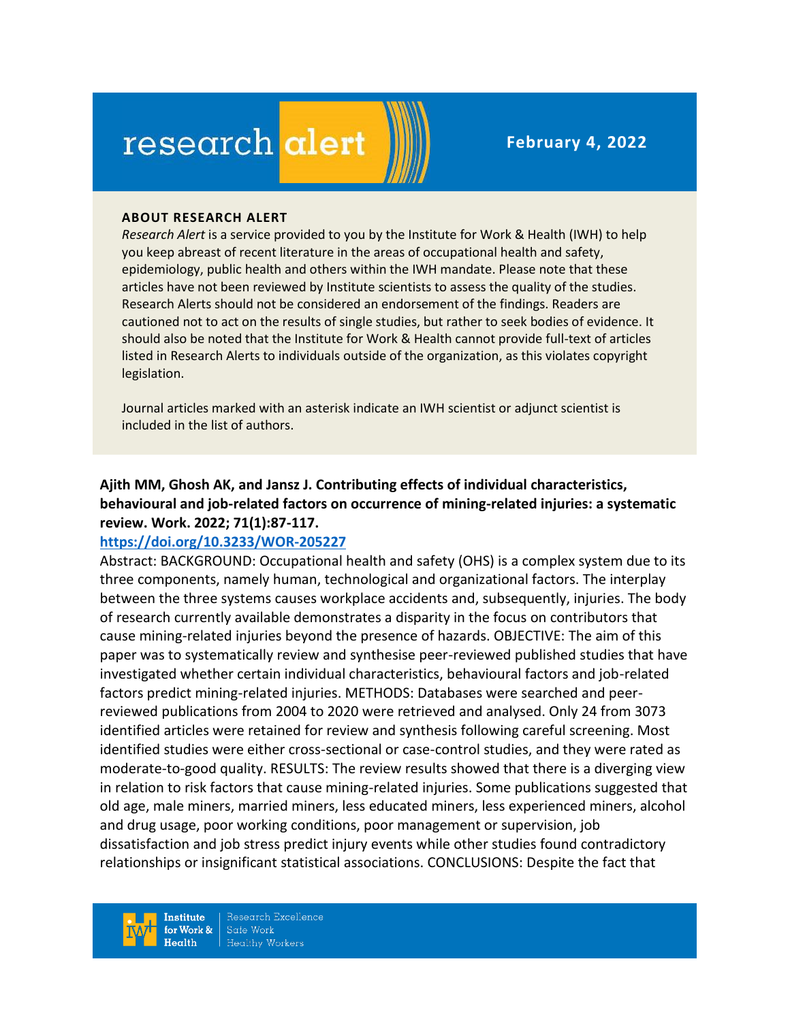# research alert

#### **ABOUT RESEARCH ALERT**

*Research Alert* is a service provided to you by the Institute for Work & Health (IWH) to help you keep abreast of recent literature in the areas of occupational health and safety, epidemiology, public health and others within the IWH mandate. Please note that these articles have not been reviewed by Institute scientists to assess the quality of the studies. Research Alerts should not be considered an endorsement of the findings. Readers are cautioned not to act on the results of single studies, but rather to seek bodies of evidence. It should also be noted that the Institute for Work & Health cannot provide full-text of articles listed in Research Alerts to individuals outside of the organization, as this violates copyright legislation.

Journal articles marked with an asterisk indicate an IWH scientist or adjunct scientist is included in the list of authors.

**Ajith MM, Ghosh AK, and Jansz J. Contributing effects of individual characteristics, behavioural and job-related factors on occurrence of mining-related injuries: a systematic review. Work. 2022; 71(1):87-117.** 

#### **<https://doi.org/10.3233/WOR-205227>**

Abstract: BACKGROUND: Occupational health and safety (OHS) is a complex system due to its three components, namely human, technological and organizational factors. The interplay between the three systems causes workplace accidents and, subsequently, injuries. The body of research currently available demonstrates a disparity in the focus on contributors that cause mining-related injuries beyond the presence of hazards. OBJECTIVE: The aim of this paper was to systematically review and synthesise peer-reviewed published studies that have investigated whether certain individual characteristics, behavioural factors and job-related factors predict mining-related injuries. METHODS: Databases were searched and peerreviewed publications from 2004 to 2020 were retrieved and analysed. Only 24 from 3073 identified articles were retained for review and synthesis following careful screening. Most identified studies were either cross-sectional or case-control studies, and they were rated as moderate-to-good quality. RESULTS: The review results showed that there is a diverging view in relation to risk factors that cause mining-related injuries. Some publications suggested that old age, male miners, married miners, less educated miners, less experienced miners, alcohol and drug usage, poor working conditions, poor management or supervision, job dissatisfaction and job stress predict injury events while other studies found contradictory relationships or insignificant statistical associations. CONCLUSIONS: Despite the fact that

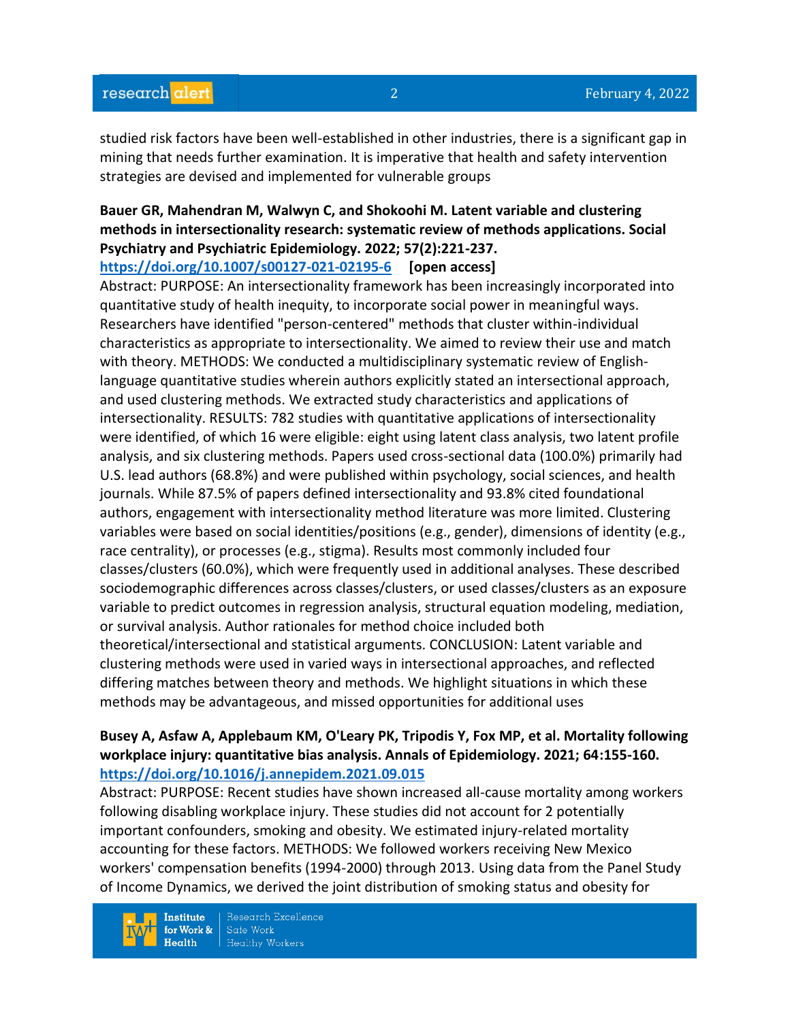studied risk factors have been well-established in other industries, there is a significant gap in mining that needs further examination. It is imperative that health and safety intervention strategies are devised and implemented for vulnerable groups

# **Bauer GR, Mahendran M, Walwyn C, and Shokoohi M. Latent variable and clustering methods in intersectionality research: systematic review of methods applications. Social Psychiatry and Psychiatric Epidemiology. 2022; 57(2):221-237.**

**<https://doi.org/10.1007/s00127-021-02195-6> [open access]**

Abstract: PURPOSE: An intersectionality framework has been increasingly incorporated into quantitative study of health inequity, to incorporate social power in meaningful ways. Researchers have identified "person-centered" methods that cluster within-individual characteristics as appropriate to intersectionality. We aimed to review their use and match with theory. METHODS: We conducted a multidisciplinary systematic review of Englishlanguage quantitative studies wherein authors explicitly stated an intersectional approach, and used clustering methods. We extracted study characteristics and applications of intersectionality. RESULTS: 782 studies with quantitative applications of intersectionality were identified, of which 16 were eligible: eight using latent class analysis, two latent profile analysis, and six clustering methods. Papers used cross-sectional data (100.0%) primarily had U.S. lead authors (68.8%) and were published within psychology, social sciences, and health journals. While 87.5% of papers defined intersectionality and 93.8% cited foundational authors, engagement with intersectionality method literature was more limited. Clustering variables were based on social identities/positions (e.g., gender), dimensions of identity (e.g., race centrality), or processes (e.g., stigma). Results most commonly included four classes/clusters (60.0%), which were frequently used in additional analyses. These described sociodemographic differences across classes/clusters, or used classes/clusters as an exposure variable to predict outcomes in regression analysis, structural equation modeling, mediation, or survival analysis. Author rationales for method choice included both theoretical/intersectional and statistical arguments. CONCLUSION: Latent variable and clustering methods were used in varied ways in intersectional approaches, and reflected differing matches between theory and methods. We highlight situations in which these methods may be advantageous, and missed opportunities for additional uses

## **Busey A, Asfaw A, Applebaum KM, O'Leary PK, Tripodis Y, Fox MP, et al. Mortality following workplace injury: quantitative bias analysis. Annals of Epidemiology. 2021; 64:155-160. <https://doi.org/10.1016/j.annepidem.2021.09.015>**

Abstract: PURPOSE: Recent studies have shown increased all-cause mortality among workers following disabling workplace injury. These studies did not account for 2 potentially important confounders, smoking and obesity. We estimated injury-related mortality accounting for these factors. METHODS: We followed workers receiving New Mexico workers' compensation benefits (1994-2000) through 2013. Using data from the Panel Study of Income Dynamics, we derived the joint distribution of smoking status and obesity for

Institute for Work &  $Health$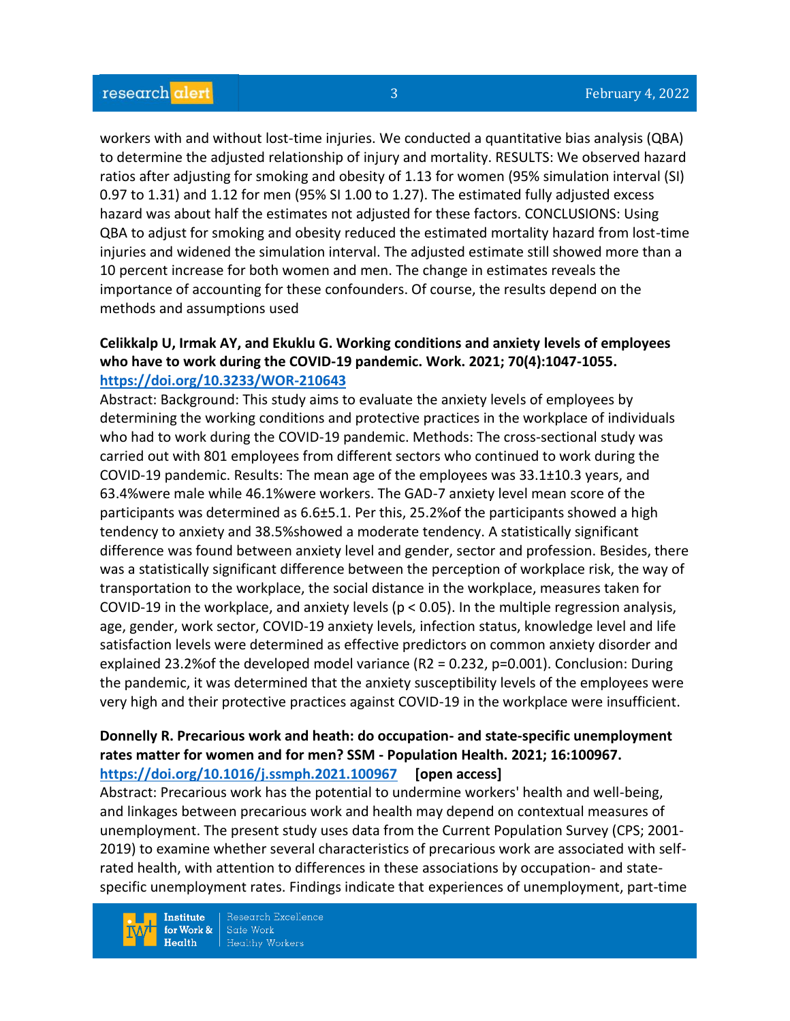workers with and without lost-time injuries. We conducted a quantitative bias analysis (QBA) to determine the adjusted relationship of injury and mortality. RESULTS: We observed hazard ratios after adjusting for smoking and obesity of 1.13 for women (95% simulation interval (SI) 0.97 to 1.31) and 1.12 for men (95% SI 1.00 to 1.27). The estimated fully adjusted excess hazard was about half the estimates not adjusted for these factors. CONCLUSIONS: Using QBA to adjust for smoking and obesity reduced the estimated mortality hazard from lost-time injuries and widened the simulation interval. The adjusted estimate still showed more than a 10 percent increase for both women and men. The change in estimates reveals the importance of accounting for these confounders. Of course, the results depend on the methods and assumptions used

#### **Celikkalp U, Irmak AY, and Ekuklu G. Working conditions and anxiety levels of employees who have to work during the COVID-19 pandemic. Work. 2021; 70(4):1047-1055. <https://doi.org/10.3233/WOR-210643>**

Abstract: Background: This study aims to evaluate the anxiety levels of employees by determining the working conditions and protective practices in the workplace of individuals who had to work during the COVID-19 pandemic. Methods: The cross-sectional study was carried out with 801 employees from different sectors who continued to work during the COVID-19 pandemic. Results: The mean age of the employees was 33.1±10.3 years, and 63.4%were male while 46.1%were workers. The GAD-7 anxiety level mean score of the participants was determined as 6.6±5.1. Per this, 25.2%of the participants showed a high tendency to anxiety and 38.5%showed a moderate tendency. A statistically significant difference was found between anxiety level and gender, sector and profession. Besides, there was a statistically significant difference between the perception of workplace risk, the way of transportation to the workplace, the social distance in the workplace, measures taken for COVID-19 in the workplace, and anxiety levels ( $p < 0.05$ ). In the multiple regression analysis, age, gender, work sector, COVID-19 anxiety levels, infection status, knowledge level and life satisfaction levels were determined as effective predictors on common anxiety disorder and explained 23.2%of the developed model variance (R2 = 0.232, p=0.001). Conclusion: During the pandemic, it was determined that the anxiety susceptibility levels of the employees were very high and their protective practices against COVID-19 in the workplace were insufficient.

#### **Donnelly R. Precarious work and heath: do occupation- and state-specific unemployment rates matter for women and for men? SSM - Population Health. 2021; 16:100967. <https://doi.org/10.1016/j.ssmph.2021.100967> [open access]**

Abstract: Precarious work has the potential to undermine workers' health and well-being, and linkages between precarious work and health may depend on contextual measures of unemployment. The present study uses data from the Current Population Survey (CPS; 2001- 2019) to examine whether several characteristics of precarious work are associated with selfrated health, with attention to differences in these associations by occupation- and statespecific unemployment rates. Findings indicate that experiences of unemployment, part-time

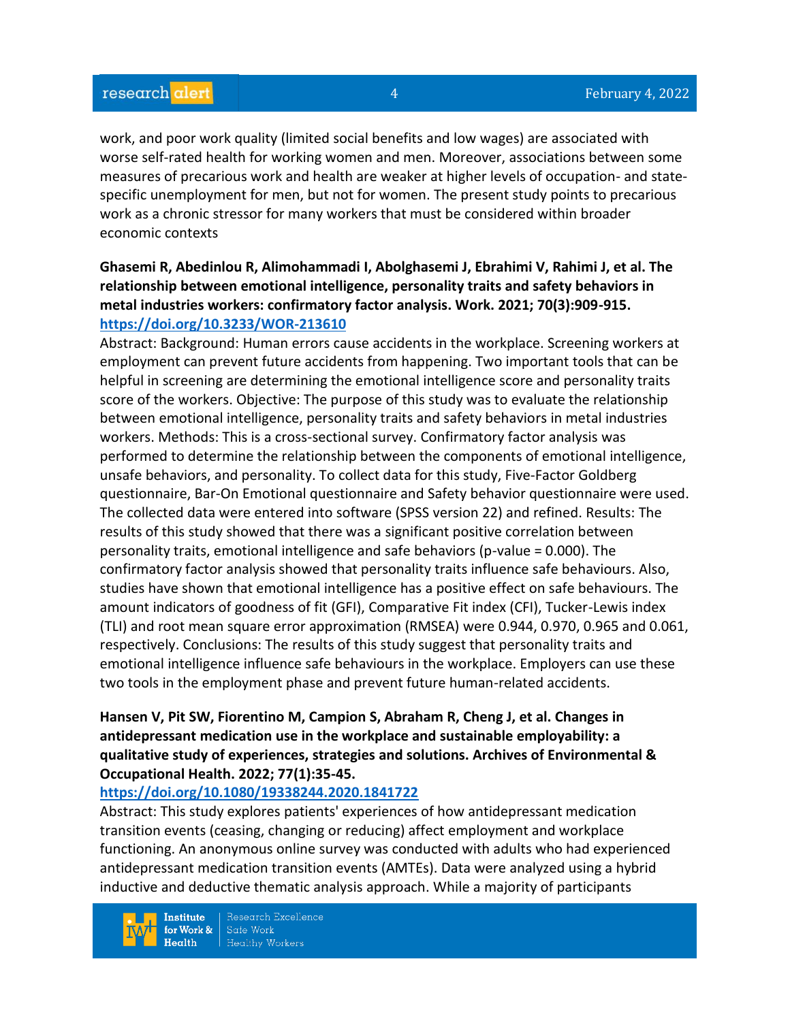work, and poor work quality (limited social benefits and low wages) are associated with worse self-rated health for working women and men. Moreover, associations between some measures of precarious work and health are weaker at higher levels of occupation- and statespecific unemployment for men, but not for women. The present study points to precarious work as a chronic stressor for many workers that must be considered within broader economic contexts

## **Ghasemi R, Abedinlou R, Alimohammadi I, Abolghasemi J, Ebrahimi V, Rahimi J, et al. The relationship between emotional intelligence, personality traits and safety behaviors in metal industries workers: confirmatory factor analysis. Work. 2021; 70(3):909-915. <https://doi.org/10.3233/WOR-213610>**

Abstract: Background: Human errors cause accidents in the workplace. Screening workers at employment can prevent future accidents from happening. Two important tools that can be helpful in screening are determining the emotional intelligence score and personality traits score of the workers. Objective: The purpose of this study was to evaluate the relationship between emotional intelligence, personality traits and safety behaviors in metal industries workers. Methods: This is a cross-sectional survey. Confirmatory factor analysis was performed to determine the relationship between the components of emotional intelligence, unsafe behaviors, and personality. To collect data for this study, Five-Factor Goldberg questionnaire, Bar-On Emotional questionnaire and Safety behavior questionnaire were used. The collected data were entered into software (SPSS version 22) and refined. Results: The results of this study showed that there was a significant positive correlation between personality traits, emotional intelligence and safe behaviors (p-value = 0.000). The confirmatory factor analysis showed that personality traits influence safe behaviours. Also, studies have shown that emotional intelligence has a positive effect on safe behaviours. The amount indicators of goodness of fit (GFI), Comparative Fit index (CFI), Tucker-Lewis index (TLI) and root mean square error approximation (RMSEA) were 0.944, 0.970, 0.965 and 0.061, respectively. Conclusions: The results of this study suggest that personality traits and emotional intelligence influence safe behaviours in the workplace. Employers can use these two tools in the employment phase and prevent future human-related accidents.

## **Hansen V, Pit SW, Fiorentino M, Campion S, Abraham R, Cheng J, et al. Changes in antidepressant medication use in the workplace and sustainable employability: a qualitative study of experiences, strategies and solutions. Archives of Environmental & Occupational Health. 2022; 77(1):35-45.**

#### **<https://doi.org/10.1080/19338244.2020.1841722>**

Abstract: This study explores patients' experiences of how antidepressant medication transition events (ceasing, changing or reducing) affect employment and workplace functioning. An anonymous online survey was conducted with adults who had experienced antidepressant medication transition events (AMTEs). Data were analyzed using a hybrid inductive and deductive thematic analysis approach. While a majority of participants

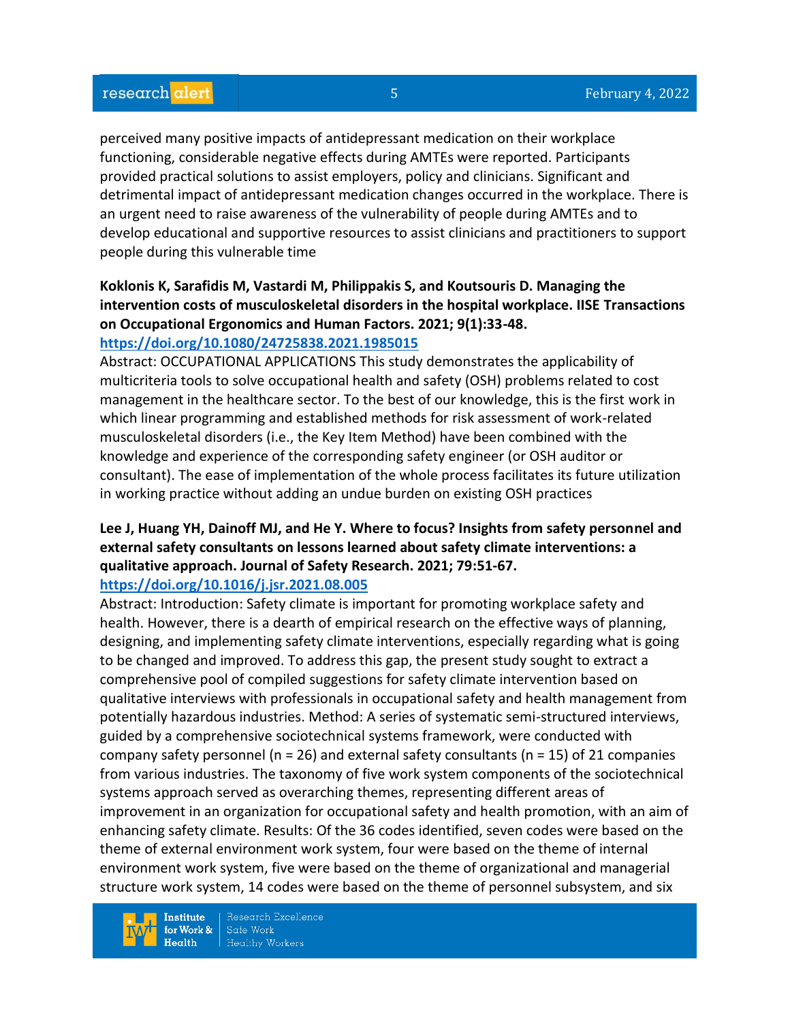perceived many positive impacts of antidepressant medication on their workplace functioning, considerable negative effects during AMTEs were reported. Participants provided practical solutions to assist employers, policy and clinicians. Significant and detrimental impact of antidepressant medication changes occurred in the workplace. There is an urgent need to raise awareness of the vulnerability of people during AMTEs and to develop educational and supportive resources to assist clinicians and practitioners to support people during this vulnerable time

# **Koklonis K, Sarafidis M, Vastardi M, Philippakis S, and Koutsouris D. Managing the intervention costs of musculoskeletal disorders in the hospital workplace. IISE Transactions on Occupational Ergonomics and Human Factors. 2021; 9(1):33-48.**

## **<https://doi.org/10.1080/24725838.2021.1985015>**

Abstract: OCCUPATIONAL APPLICATIONS This study demonstrates the applicability of multicriteria tools to solve occupational health and safety (OSH) problems related to cost management in the healthcare sector. To the best of our knowledge, this is the first work in which linear programming and established methods for risk assessment of work-related musculoskeletal disorders (i.e., the Key Item Method) have been combined with the knowledge and experience of the corresponding safety engineer (or OSH auditor or consultant). The ease of implementation of the whole process facilitates its future utilization in working practice without adding an undue burden on existing OSH practices

## **Lee J, Huang YH, Dainoff MJ, and He Y. Where to focus? Insights from safety personnel and external safety consultants on lessons learned about safety climate interventions: a qualitative approach. Journal of Safety Research. 2021; 79:51-67.**

#### **<https://doi.org/10.1016/j.jsr.2021.08.005>**

Abstract: Introduction: Safety climate is important for promoting workplace safety and health. However, there is a dearth of empirical research on the effective ways of planning, designing, and implementing safety climate interventions, especially regarding what is going to be changed and improved. To address this gap, the present study sought to extract a comprehensive pool of compiled suggestions for safety climate intervention based on qualitative interviews with professionals in occupational safety and health management from potentially hazardous industries. Method: A series of systematic semi-structured interviews, guided by a comprehensive sociotechnical systems framework, were conducted with company safety personnel ( $n = 26$ ) and external safety consultants ( $n = 15$ ) of 21 companies from various industries. The taxonomy of five work system components of the sociotechnical systems approach served as overarching themes, representing different areas of improvement in an organization for occupational safety and health promotion, with an aim of enhancing safety climate. Results: Of the 36 codes identified, seven codes were based on the theme of external environment work system, four were based on the theme of internal environment work system, five were based on the theme of organizational and managerial structure work system, 14 codes were based on the theme of personnel subsystem, and six

**Institute** for Work &  $Health$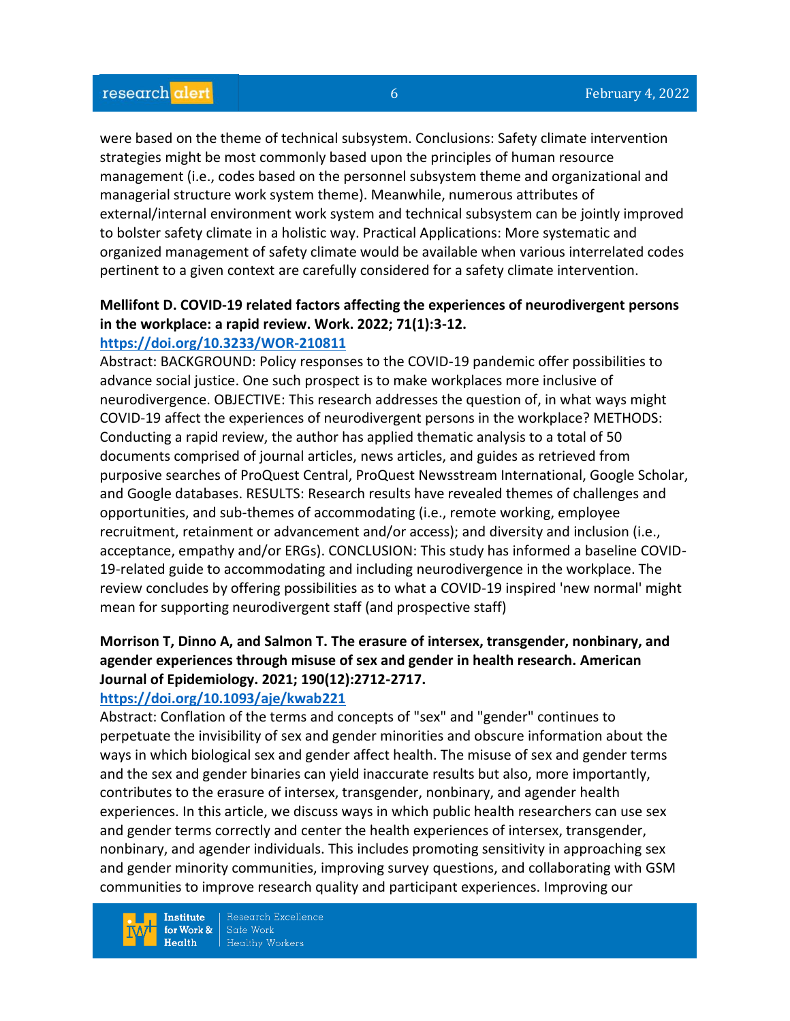were based on the theme of technical subsystem. Conclusions: Safety climate intervention strategies might be most commonly based upon the principles of human resource management (i.e., codes based on the personnel subsystem theme and organizational and managerial structure work system theme). Meanwhile, numerous attributes of external/internal environment work system and technical subsystem can be jointly improved to bolster safety climate in a holistic way. Practical Applications: More systematic and organized management of safety climate would be available when various interrelated codes pertinent to a given context are carefully considered for a safety climate intervention.

## **Mellifont D. COVID-19 related factors affecting the experiences of neurodivergent persons in the workplace: a rapid review. Work. 2022; 71(1):3-12.**

## **<https://doi.org/10.3233/WOR-210811>**

Abstract: BACKGROUND: Policy responses to the COVID-19 pandemic offer possibilities to advance social justice. One such prospect is to make workplaces more inclusive of neurodivergence. OBJECTIVE: This research addresses the question of, in what ways might COVID-19 affect the experiences of neurodivergent persons in the workplace? METHODS: Conducting a rapid review, the author has applied thematic analysis to a total of 50 documents comprised of journal articles, news articles, and guides as retrieved from purposive searches of ProQuest Central, ProQuest Newsstream International, Google Scholar, and Google databases. RESULTS: Research results have revealed themes of challenges and opportunities, and sub-themes of accommodating (i.e., remote working, employee recruitment, retainment or advancement and/or access); and diversity and inclusion (i.e., acceptance, empathy and/or ERGs). CONCLUSION: This study has informed a baseline COVID-19-related guide to accommodating and including neurodivergence in the workplace. The review concludes by offering possibilities as to what a COVID-19 inspired 'new normal' might mean for supporting neurodivergent staff (and prospective staff)

# **Morrison T, Dinno A, and Salmon T. The erasure of intersex, transgender, nonbinary, and agender experiences through misuse of sex and gender in health research. American Journal of Epidemiology. 2021; 190(12):2712-2717.**

#### **<https://doi.org/10.1093/aje/kwab221>**

Abstract: Conflation of the terms and concepts of "sex" and "gender" continues to perpetuate the invisibility of sex and gender minorities and obscure information about the ways in which biological sex and gender affect health. The misuse of sex and gender terms and the sex and gender binaries can yield inaccurate results but also, more importantly, contributes to the erasure of intersex, transgender, nonbinary, and agender health experiences. In this article, we discuss ways in which public health researchers can use sex and gender terms correctly and center the health experiences of intersex, transgender, nonbinary, and agender individuals. This includes promoting sensitivity in approaching sex and gender minority communities, improving survey questions, and collaborating with GSM communities to improve research quality and participant experiences. Improving our

**Institute** for Work &  $Heath$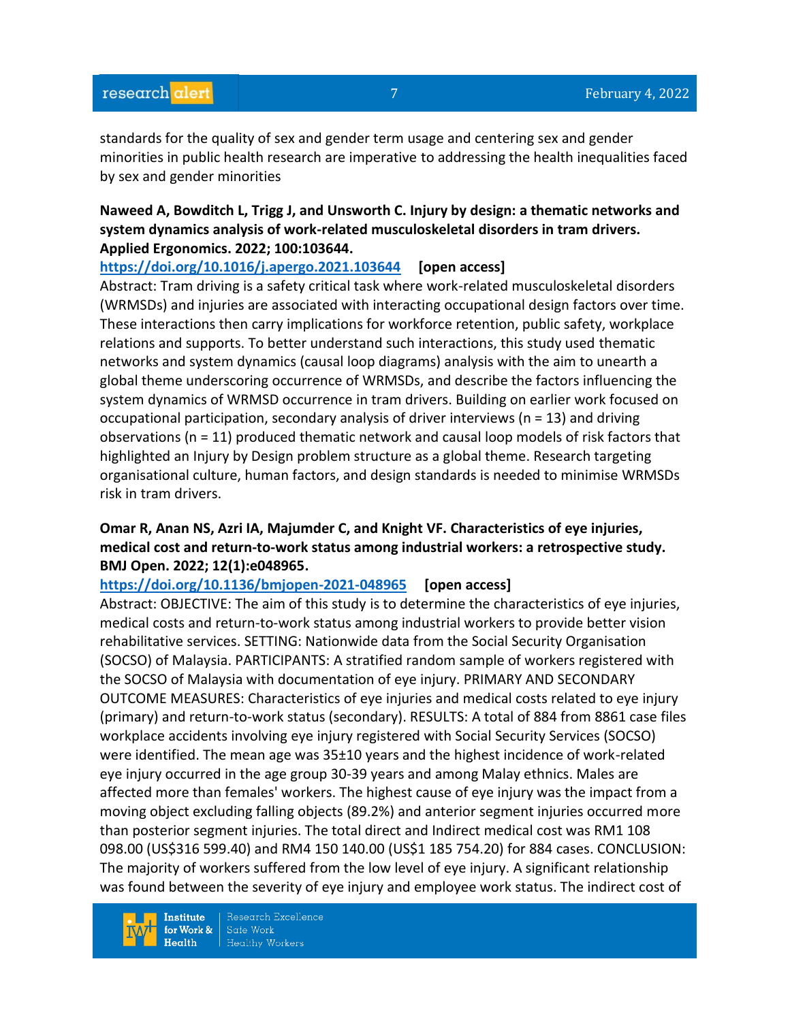standards for the quality of sex and gender term usage and centering sex and gender minorities in public health research are imperative to addressing the health inequalities faced by sex and gender minorities

## **Naweed A, Bowditch L, Trigg J, and Unsworth C. Injury by design: a thematic networks and system dynamics analysis of work-related musculoskeletal disorders in tram drivers. Applied Ergonomics. 2022; 100:103644.**

**<https://doi.org/10.1016/j.apergo.2021.103644> [open access]**

Abstract: Tram driving is a safety critical task where work-related musculoskeletal disorders (WRMSDs) and injuries are associated with interacting occupational design factors over time. These interactions then carry implications for workforce retention, public safety, workplace relations and supports. To better understand such interactions, this study used thematic networks and system dynamics (causal loop diagrams) analysis with the aim to unearth a global theme underscoring occurrence of WRMSDs, and describe the factors influencing the system dynamics of WRMSD occurrence in tram drivers. Building on earlier work focused on occupational participation, secondary analysis of driver interviews (n = 13) and driving observations ( $n = 11$ ) produced thematic network and causal loop models of risk factors that highlighted an Injury by Design problem structure as a global theme. Research targeting organisational culture, human factors, and design standards is needed to minimise WRMSDs risk in tram drivers.

## **Omar R, Anan NS, Azri IA, Majumder C, and Knight VF. Characteristics of eye injuries, medical cost and return-to-work status among industrial workers: a retrospective study. BMJ Open. 2022; 12(1):e048965.**

**<https://doi.org/10.1136/bmjopen-2021-048965> [open access]**

Abstract: OBJECTIVE: The aim of this study is to determine the characteristics of eye injuries, medical costs and return-to-work status among industrial workers to provide better vision rehabilitative services. SETTING: Nationwide data from the Social Security Organisation (SOCSO) of Malaysia. PARTICIPANTS: A stratified random sample of workers registered with the SOCSO of Malaysia with documentation of eye injury. PRIMARY AND SECONDARY OUTCOME MEASURES: Characteristics of eye injuries and medical costs related to eye injury (primary) and return-to-work status (secondary). RESULTS: A total of 884 from 8861 case files workplace accidents involving eye injury registered with Social Security Services (SOCSO) were identified. The mean age was 35±10 years and the highest incidence of work-related eye injury occurred in the age group 30-39 years and among Malay ethnics. Males are affected more than females' workers. The highest cause of eye injury was the impact from a moving object excluding falling objects (89.2%) and anterior segment injuries occurred more than posterior segment injuries. The total direct and Indirect medical cost was RM1 108 098.00 (US\$316 599.40) and RM4 150 140.00 (US\$1 185 754.20) for 884 cases. CONCLUSION: The majority of workers suffered from the low level of eye injury. A significant relationship was found between the severity of eye injury and employee work status. The indirect cost of

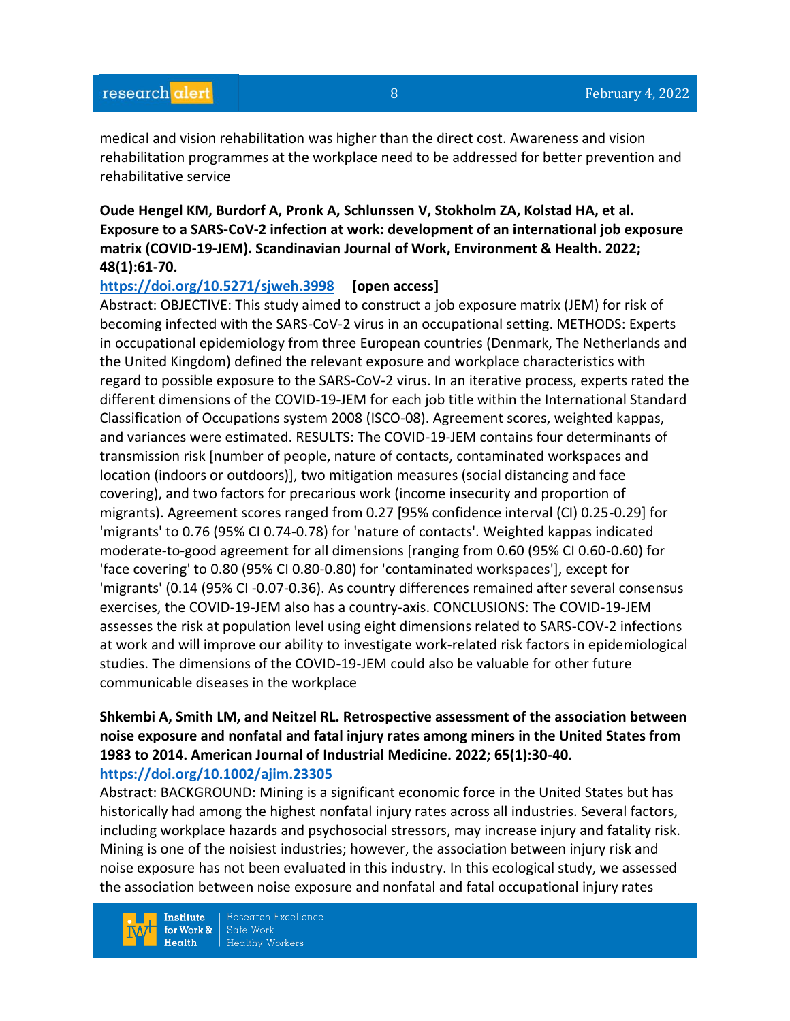medical and vision rehabilitation was higher than the direct cost. Awareness and vision rehabilitation programmes at the workplace need to be addressed for better prevention and rehabilitative service

**Oude Hengel KM, Burdorf A, Pronk A, Schlunssen V, Stokholm ZA, Kolstad HA, et al. Exposure to a SARS-CoV-2 infection at work: development of an international job exposure matrix (COVID-19-JEM). Scandinavian Journal of Work, Environment & Health. 2022; 48(1):61-70.** 

#### **<https://doi.org/10.5271/sjweh.3998> [open access]**

Abstract: OBJECTIVE: This study aimed to construct a job exposure matrix (JEM) for risk of becoming infected with the SARS-CoV-2 virus in an occupational setting. METHODS: Experts in occupational epidemiology from three European countries (Denmark, The Netherlands and the United Kingdom) defined the relevant exposure and workplace characteristics with regard to possible exposure to the SARS-CoV-2 virus. In an iterative process, experts rated the different dimensions of the COVID-19-JEM for each job title within the International Standard Classification of Occupations system 2008 (ISCO-08). Agreement scores, weighted kappas, and variances were estimated. RESULTS: The COVID-19-JEM contains four determinants of transmission risk [number of people, nature of contacts, contaminated workspaces and location (indoors or outdoors)], two mitigation measures (social distancing and face covering), and two factors for precarious work (income insecurity and proportion of migrants). Agreement scores ranged from 0.27 [95% confidence interval (CI) 0.25-0.29] for 'migrants' to 0.76 (95% CI 0.74-0.78) for 'nature of contacts'. Weighted kappas indicated moderate-to-good agreement for all dimensions [ranging from 0.60 (95% CI 0.60-0.60) for 'face covering' to 0.80 (95% CI 0.80-0.80) for 'contaminated workspaces'], except for 'migrants' (0.14 (95% CI -0.07-0.36). As country differences remained after several consensus exercises, the COVID-19-JEM also has a country-axis. CONCLUSIONS: The COVID-19-JEM assesses the risk at population level using eight dimensions related to SARS-COV-2 infections at work and will improve our ability to investigate work-related risk factors in epidemiological studies. The dimensions of the COVID-19-JEM could also be valuable for other future communicable diseases in the workplace

#### **Shkembi A, Smith LM, and Neitzel RL. Retrospective assessment of the association between noise exposure and nonfatal and fatal injury rates among miners in the United States from 1983 to 2014. American Journal of Industrial Medicine. 2022; 65(1):30-40. <https://doi.org/10.1002/ajim.23305>**

Abstract: BACKGROUND: Mining is a significant economic force in the United States but has historically had among the highest nonfatal injury rates across all industries. Several factors, including workplace hazards and psychosocial stressors, may increase injury and fatality risk. Mining is one of the noisiest industries; however, the association between injury risk and noise exposure has not been evaluated in this industry. In this ecological study, we assessed the association between noise exposure and nonfatal and fatal occupational injury rates